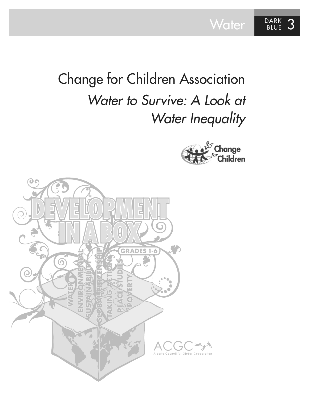Water BLUE 3

# Change for Children Association *Water to Survive: A Look at Water Inequality*



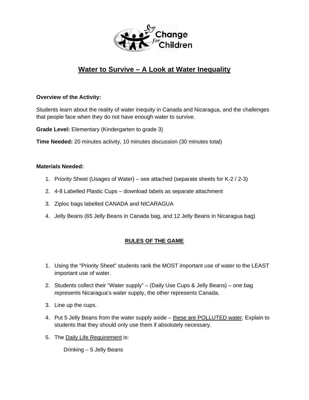

### **Water to Survive – A Look at Water Inequality**

#### **Overview of the Activity:**

Students learn about the reality of water inequity in Canada and Nicaragua, and the challenges that people face when they do not have enough water to survive.

**Grade Level:** Elementary (Kindergarten to grade 3)

**Time Needed:** 20 minutes activity, 10 minutes discussion (30 minutes total)

#### **Materials Needed:**

- 1. Priority Sheet (Usages of Water) see attached (separate sheets for K-2 / 2-3)
- 2. 4-8 Labelled Plastic Cups download labels as separate attachment
- 3. Ziploc bags labelled CANADA and NICARAGUA
- 4. Jelly Beans (65 Jelly Beans in Canada bag, and 12 Jelly Beans in Nicaragua bag)

### **RULES OF THE GAME**

- 1. Using the "Priority Sheet" students rank the MOST important use of water to the LEAST important use of water.
- 2. Students collect their "Water supply" (Daily Use Cups & Jelly Beans) one bag represents Nicaragua's water supply, the other represents Canada.
- 3. Line up the cups.
- 4. Put 5 Jelly Beans from the water supply aside these are POLLUTED water. Explain to students that they should only use them if absolutely necessary.
- 5. The Daily Life Requirement is:

Drinking – 5 Jelly Beans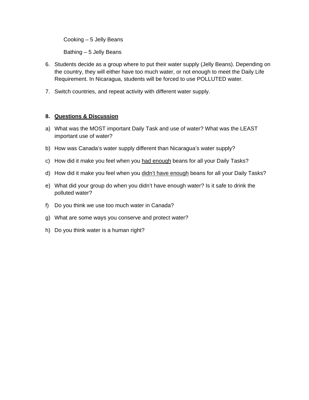Cooking – 5 Jelly Beans

Bathing – 5 Jelly Beans

- 6. Students decide as a group where to put their water supply (Jelly Beans). Depending on the country, they will either have too much water, or not enough to meet the Daily Life Requirement. In Nicaragua, students will be forced to use POLLUTED water.
- 7. Switch countries, and repeat activity with different water supply.

#### **8. Questions & Discussion**

- a) What was the MOST important Daily Task and use of water? What was the LEAST important use of water?
- b) How was Canada's water supply different than Nicaragua's water supply?
- c) How did it make you feel when you had enough beans for all your Daily Tasks?
- d) How did it make you feel when you didn't have enough beans for all your Daily Tasks?
- e) What did your group do when you didn't have enough water? Is it safe to drink the polluted water?
- f) Do you think we use too much water in Canada?
- g) What are some ways you conserve and protect water?
- h) Do you think water is a human right?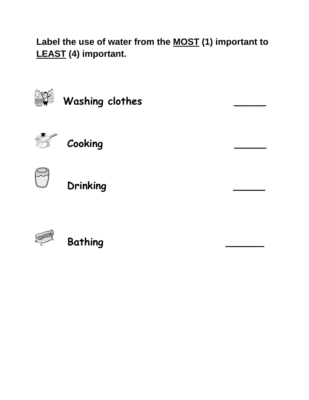**Label the use of water from the MOST (1) important to LEAST (4) important.**



Washing clothes



 **Cooking \_\_\_\_\_** 



 **Drinking \_\_\_\_\_** 



 **Bathing \_\_\_\_\_\_**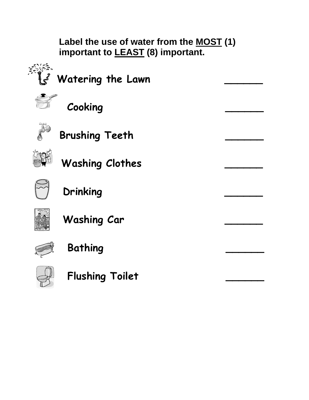**Label the use of water from the MOST (1) important to LEAST (8) important.** 



Watering the Lawn

 **Cooking \_\_\_\_\_\_** 



 **Brushing Teeth \_\_\_\_\_\_** 



Washing Clothes



 **Drinking \_\_\_\_\_\_** 



 **Washing Car \_\_\_\_\_\_** 



 **Bathing \_\_\_\_\_\_** 



 **Flushing Toilet \_\_\_\_\_\_**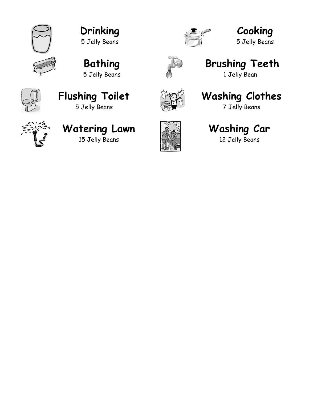

**Drinking**  5 Jelly Beans



**Cooking**  5 Jelly Beans







## **Brushing Teeth**

1 Jelly Bean



### **Flushing Toilet**  5 Jelly Beans



## **Washing Clothes**

7 Jelly Beans



### **Watering Lawn**  15 Jelly Beans



## **Washing Car**

12 Jelly Beans